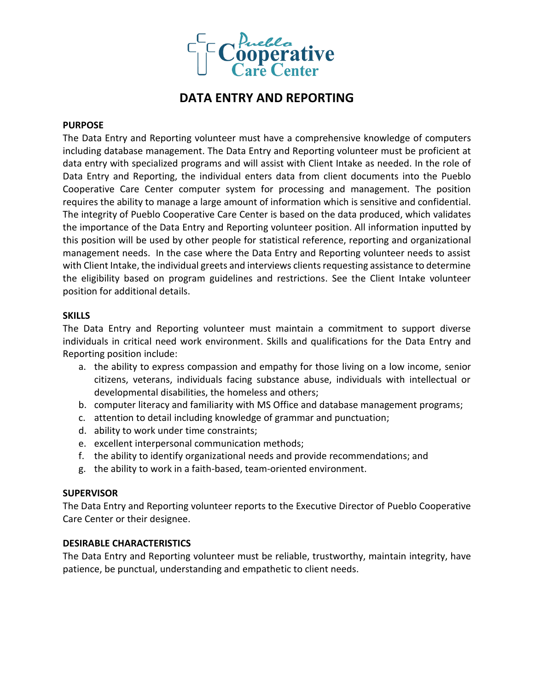

# **DATA ENTRY AND REPORTING**

### **PURPOSE**

The Data Entry and Reporting volunteer must have a comprehensive knowledge of computers including database management. The Data Entry and Reporting volunteer must be proficient at data entry with specialized programs and will assist with Client Intake as needed. In the role of Data Entry and Reporting, the individual enters data from client documents into the Pueblo Cooperative Care Center computer system for processing and management. The position requires the ability to manage a large amount of information which is sensitive and confidential. The integrity of Pueblo Cooperative Care Center is based on the data produced, which validates the importance of the Data Entry and Reporting volunteer position. All information inputted by this position will be used by other people for statistical reference, reporting and organizational management needs. In the case where the Data Entry and Reporting volunteer needs to assist with Client Intake, the individual greets and interviews clients requesting assistance to determine the eligibility based on program guidelines and restrictions. See the Client Intake volunteer position for additional details.

### **SKILLS**

The Data Entry and Reporting volunteer must maintain a commitment to support diverse individuals in critical need work environment. Skills and qualifications for the Data Entry and Reporting position include:

- a. the ability to express compassion and empathy for those living on a low income, senior citizens, veterans, individuals facing substance abuse, individuals with intellectual or developmental disabilities, the homeless and others;
- b. computer literacy and familiarity with MS Office and database management programs;
- c. attention to detail including knowledge of grammar and punctuation;
- d. ability to work under time constraints;
- e. excellent interpersonal communication methods;
- f. the ability to identify organizational needs and provide recommendations; and
- g. the ability to work in a faith-based, team-oriented environment.

### **SUPERVISOR**

The Data Entry and Reporting volunteer reports to the Executive Director of Pueblo Cooperative Care Center or their designee.

### **DESIRABLE CHARACTERISTICS**

The Data Entry and Reporting volunteer must be reliable, trustworthy, maintain integrity, have patience, be punctual, understanding and empathetic to client needs.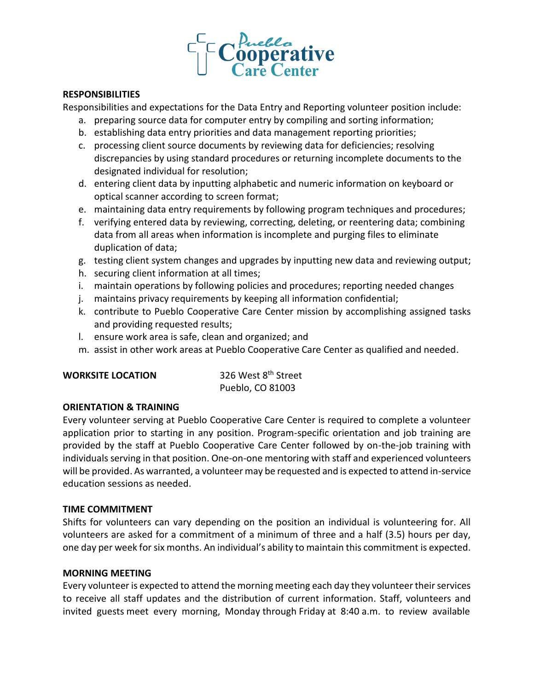

### **RESPONSIBILITIES**

Responsibilities and expectations for the Data Entry and Reporting volunteer position include:

- a. preparing source data for computer entry by compiling and sorting information;
- b. establishing data entry priorities and data management reporting priorities;
- c. processing client source documents by reviewing data for deficiencies; resolving discrepancies by using standard procedures or returning incomplete documents to the designated individual for resolution;
- d. entering client data by inputting alphabetic and numeric information on keyboard or optical scanner according to screen format;
- e. maintaining data entry requirements by following program techniques and procedures;
- f. verifying entered data by reviewing, correcting, deleting, or reentering data; combining data from all areas when information is incomplete and purging files to eliminate duplication of data;
- g. testing client system changes and upgrades by inputting new data and reviewing output;
- h. securing client information at all times;
- i. maintain operations by following policies and procedures; reporting needed changes
- j. maintains privacy requirements by keeping all information confidential;
- k. contribute to Pueblo Cooperative Care Center mission by accomplishing assigned tasks and providing requested results;
- l. ensure work area is safe, clean and organized; and
- m. assist in other work areas at Pueblo Cooperative Care Center as qualified and needed.

# **WORKSITE LOCATION** 326 West 8<sup>th</sup> Street

Pueblo, CO 81003

# **ORIENTATION & TRAINING**

Every volunteer serving at Pueblo Cooperative Care Center is required to complete a volunteer application prior to starting in any position. Program-specific orientation and job training are provided by the staff at Pueblo Cooperative Care Center followed by on-the-job training with individuals serving in that position. One-on-one mentoring with staff and experienced volunteers will be provided. As warranted, a volunteer may be requested and is expected to attend in-service education sessions as needed.

# **TIME COMMITMENT**

Shifts for volunteers can vary depending on the position an individual is volunteering for. All volunteers are asked for a commitment of a minimum of three and a half (3.5) hours per day, one day per week for six months. An individual's ability to maintain this commitment is expected.

# **MORNING MEETING**

Every volunteer is expected to attend the morning meeting each day they volunteer their services to receive all staff updates and the distribution of current information. Staff, volunteers and invited guests meet every morning, Monday through Friday at 8:40 a.m. to review available